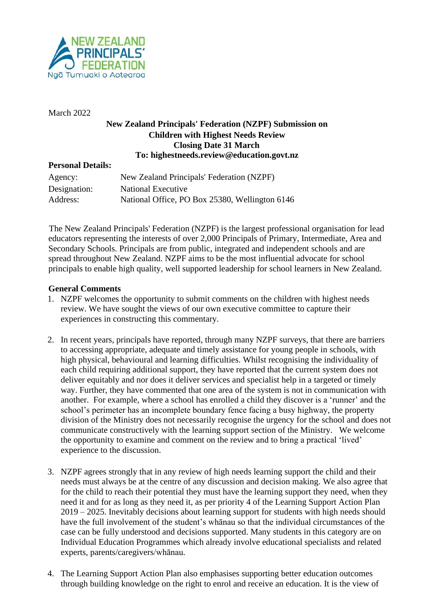

March 2022

## **New Zealand Principals' Federation (NZPF) Submission on Children with Highest Needs Review Closing Date 31 March To: highestneeds.review@education.govt.nz**

## **Personal Details:**

| Agency:      | New Zealand Principals' Federation (NZPF)      |
|--------------|------------------------------------------------|
| Designation: | National Executive                             |
| Address:     | National Office, PO Box 25380, Wellington 6146 |

The New Zealand Principals' Federation (NZPF) is the largest professional organisation for lead educators representing the interests of over 2,000 Principals of Primary, Intermediate, Area and Secondary Schools. Principals are from public, integrated and independent schools and are spread throughout New Zealand. NZPF aims to be the most influential advocate for school principals to enable high quality, well supported leadership for school learners in New Zealand.

## **General Comments**

- 1. NZPF welcomes the opportunity to submit comments on the children with highest needs review. We have sought the views of our own executive committee to capture their experiences in constructing this commentary.
- 2. In recent years, principals have reported, through many NZPF surveys, that there are barriers to accessing appropriate, adequate and timely assistance for young people in schools, with high physical, behavioural and learning difficulties. Whilst recognising the individuality of each child requiring additional support, they have reported that the current system does not deliver equitably and nor does it deliver services and specialist help in a targeted or timely way. Further, they have commented that one area of the system is not in communication with another. For example, where a school has enrolled a child they discover is a 'runner' and the school's perimeter has an incomplete boundary fence facing a busy highway, the property division of the Ministry does not necessarily recognise the urgency for the school and does not communicate constructively with the learning support section of the Ministry. We welcome the opportunity to examine and comment on the review and to bring a practical 'lived' experience to the discussion.
- 3. NZPF agrees strongly that in any review of high needs learning support the child and their needs must always be at the centre of any discussion and decision making. We also agree that for the child to reach their potential they must have the learning support they need, when they need it and for as long as they need it, as per priority 4 of the Learning Support Action Plan 2019 – 2025. Inevitably decisions about learning support for students with high needs should have the full involvement of the student's whānau so that the individual circumstances of the case can be fully understood and decisions supported. Many students in this category are on Individual Education Programmes which already involve educational specialists and related experts, parents/caregivers/whānau.
- 4. The Learning Support Action Plan also emphasises supporting better education outcomes through building knowledge on the right to enrol and receive an education. It is the view of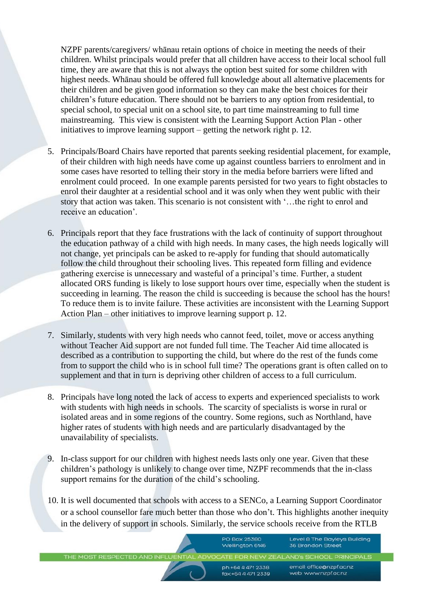NZPF parents/caregivers/ whānau retain options of choice in meeting the needs of their children. Whilst principals would prefer that all children have access to their local school full time, they are aware that this is not always the option best suited for some children with highest needs. Whānau should be offered full knowledge about all alternative placements for their children and be given good information so they can make the best choices for their children's future education. There should not be barriers to any option from residential, to special school, to special unit on a school site, to part time mainstreaming to full time mainstreaming. This view is consistent with the Learning Support Action Plan - other initiatives to improve learning support – getting the network right p. 12.

- 5. Principals/Board Chairs have reported that parents seeking residential placement, for example, of their children with high needs have come up against countless barriers to enrolment and in some cases have resorted to telling their story in the media before barriers were lifted and enrolment could proceed. In one example parents persisted for two years to fight obstacles to enrol their daughter at a residential school and it was only when they went public with their story that action was taken. This scenario is not consistent with '…the right to enrol and receive an education'.
- 6. Principals report that they face frustrations with the lack of continuity of support throughout the education pathway of a child with high needs. In many cases, the high needs logically will not change, yet principals can be asked to re-apply for funding that should automatically follow the child throughout their schooling lives. This repeated form filling and evidence gathering exercise is unnecessary and wasteful of a principal's time. Further, a student allocated ORS funding is likely to lose support hours over time, especially when the student is succeeding in learning. The reason the child is succeeding is because the school has the hours! To reduce them is to invite failure. These activities are inconsistent with the Learning Support Action Plan – other initiatives to improve learning support p. 12.
- 7. Similarly, students with very high needs who cannot feed, toilet, move or access anything without Teacher Aid support are not funded full time. The Teacher Aid time allocated is described as a contribution to supporting the child, but where do the rest of the funds come from to support the child who is in school full time? The operations grant is often called on to supplement and that in turn is depriving other children of access to a full curriculum.
- 8. Principals have long noted the lack of access to experts and experienced specialists to work with students with high needs in schools. The scarcity of specialists is worse in rural or isolated areas and in some regions of the country. Some regions, such as Northland, have higher rates of students with high needs and are particularly disadvantaged by the unavailability of specialists.
- 9. In-class support for our children with highest needs lasts only one year. Given that these children's pathology is unlikely to change over time, NZPF recommends that the in-class support remains for the duration of the child's schooling.
- 10. It is well documented that schools with access to a SENCo, a Learning Support Coordinator or a school counsellor fare much better than those who don't. This highlights another inequity in the delivery of support in schools. Similarly, the service schools receive from the RTLB

**PO Box 25380** Level 8 The Bayleys Building Wellington 6146 36 Brandon Street THE MOST RESPECTED AND INFLU ZEALAND'S SCHOOL PRINCIPALS email: office@nzpf.ac.nz ph:+64 4 471 2338 fax:+64 4 471 2339 web: www.nzpf.gc.nz